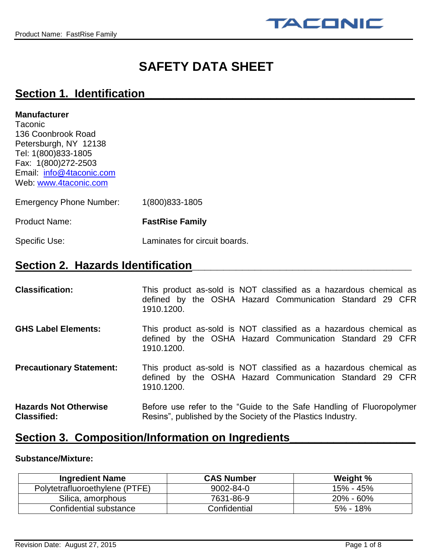

# **SAFETY DATA SHEET**

## **Section 1. Identification\_\_\_\_\_\_\_\_\_\_\_\_\_\_\_\_\_\_\_\_\_\_\_\_\_\_\_\_\_\_\_\_\_\_\_\_\_\_\_\_\_\_\_**

### **Manufacturer**

**Taconic** 136 Coonbrook Road Petersburgh, NY 12138 Tel: 1(800)833-1805 Fax: 1(800)272-2503 Email: [info@4taconic.com](mailto:info@4taconic.com) Web: [www.4taconic.com](http://www.4taconic.com/)

| <b>Emergency Phone Number:</b> | 1(800) 833-1805               |
|--------------------------------|-------------------------------|
| <b>Product Name:</b>           | <b>FastRise Family</b>        |
| Specific Use:                  | Laminates for circuit boards. |

# **Section 2. Hazards Identification**

| <b>Classification:</b>                             | This product as-sold is NOT classified as a hazardous chemical as<br>defined by the OSHA Hazard Communication Standard 29 CFR<br>1910.1200. |
|----------------------------------------------------|---------------------------------------------------------------------------------------------------------------------------------------------|
| <b>GHS Label Elements:</b>                         | This product as-sold is NOT classified as a hazardous chemical as<br>defined by the OSHA Hazard Communication Standard 29 CFR<br>1910.1200. |
| <b>Precautionary Statement:</b>                    | This product as-sold is NOT classified as a hazardous chemical as<br>defined by the OSHA Hazard Communication Standard 29 CFR<br>1910.1200. |
| <b>Hazards Not Otherwise</b><br><b>Classified:</b> | Before use refer to the "Guide to the Safe Handling of Fluoropolymer<br>Resins", published by the Society of the Plastics Industry.         |

## **Section 3. Composition/Information on Ingredients**

### **Substance/Mixture:**

| <b>Ingredient Name</b>         | <b>CAS Number</b> | Weight %      |
|--------------------------------|-------------------|---------------|
| Polytetrafluoroethylene (PTFE) | 9002-84-0         | 15% - 45%     |
| Silica, amorphous              | 7631-86-9         | $20\% - 60\%$ |
| Confidential substance         | Confidential      | $5\% - 18\%$  |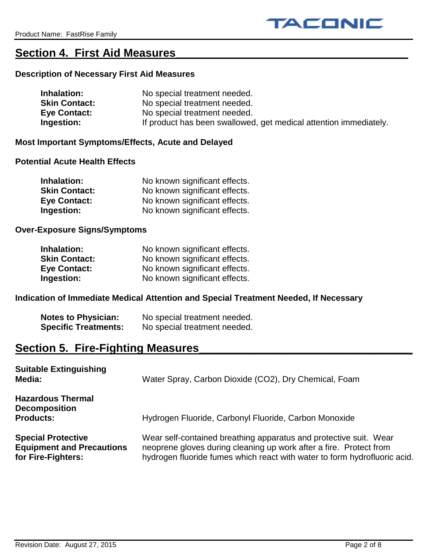# **Section 4. First Aid Measures\_\_\_\_\_\_\_\_\_\_\_\_\_\_\_\_\_\_\_\_\_\_\_\_\_\_\_\_\_\_\_\_\_\_\_\_\_**

## **Description of Necessary First Aid Measures**

| Inhalation:          | No special treatment needed.                                      |
|----------------------|-------------------------------------------------------------------|
| <b>Skin Contact:</b> | No special treatment needed.                                      |
| <b>Eye Contact:</b>  | No special treatment needed.                                      |
| Ingestion:           | If product has been swallowed, get medical attention immediately. |

### **Most Important Symptoms/Effects, Acute and Delayed**

### **Potential Acute Health Effects**

| Inhalation:          | No known significant effects. |
|----------------------|-------------------------------|
| <b>Skin Contact:</b> | No known significant effects. |
| <b>Eye Contact:</b>  | No known significant effects. |
| Ingestion:           | No known significant effects. |

## **Over-Exposure Signs/Symptoms**

| Inhalation:          | No known significant effects. |
|----------------------|-------------------------------|
| <b>Skin Contact:</b> | No known significant effects. |
| <b>Eye Contact:</b>  | No known significant effects. |
| Ingestion:           | No known significant effects. |

## **Indication of Immediate Medical Attention and Special Treatment Needed, If Necessary**

| <b>Notes to Physician:</b>  | No special treatment needed. |
|-----------------------------|------------------------------|
| <b>Specific Treatments:</b> | No special treatment needed. |

# **Section 5. Fire-Fighting Measures\_\_\_\_\_\_\_\_\_\_\_\_\_\_\_\_\_\_\_\_\_\_\_\_\_\_\_\_\_\_\_\_\_\_**

| <b>Suitable Extinguishing</b><br>Media:                                             | Water Spray, Carbon Dioxide (CO2), Dry Chemical, Foam                                                                                                                                                                |
|-------------------------------------------------------------------------------------|----------------------------------------------------------------------------------------------------------------------------------------------------------------------------------------------------------------------|
| <b>Hazardous Thermal</b><br><b>Decomposition</b><br><b>Products:</b>                | Hydrogen Fluoride, Carbonyl Fluoride, Carbon Monoxide                                                                                                                                                                |
| <b>Special Protective</b><br><b>Equipment and Precautions</b><br>for Fire-Fighters: | Wear self-contained breathing apparatus and protective suit. Wear<br>neoprene gloves during cleaning up work after a fire. Protect from<br>hydrogen fluoride fumes which react with water to form hydrofluoric acid. |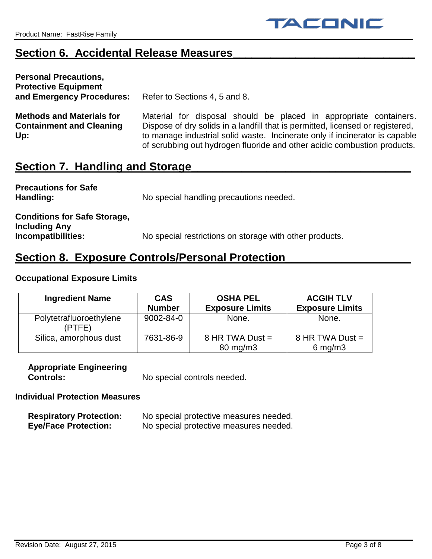# **Section 6. Accidental Release Measures**

| <b>Personal Precautions,</b><br><b>Protective Equipment</b><br>and Emergency Procedures: | Refer to Sections 4, 5 and 8.                                                                                                                                                                                                                                                                                  |
|------------------------------------------------------------------------------------------|----------------------------------------------------------------------------------------------------------------------------------------------------------------------------------------------------------------------------------------------------------------------------------------------------------------|
| <b>Methods and Materials for</b><br><b>Containment and Cleaning</b><br>Up:               | Material for disposal should be placed in appropriate containers.<br>Dispose of dry solids in a landfill that is permitted, licensed or registered,<br>to manage industrial solid waste. Incinerate only if incinerator is capable<br>of scrubbing out hydrogen fluoride and other acidic combustion products. |
| Cootion 7 Llondling and Ctorogo                                                          |                                                                                                                                                                                                                                                                                                                |

## **Section 7. Handling and Storage\_\_\_\_\_\_\_\_\_\_\_\_\_\_\_\_\_\_\_\_\_\_\_\_\_\_\_\_\_\_\_\_\_\_\_**

| <b>Precautions for Safe</b><br>Handling:                                          | No special handling precautions needed.                 |
|-----------------------------------------------------------------------------------|---------------------------------------------------------|
| <b>Conditions for Safe Storage,</b><br><b>Including Any</b><br>Incompatibilities: | No special restrictions on storage with other products. |

# **Section 8. Exposure Controls/Personal Protection\_**

## **Occupational Exposure Limits**

| <b>Ingredient Name</b>            | <b>CAS</b><br><b>Number</b> | <b>OSHA PEL</b><br><b>Exposure Limits</b> | <b>ACGIH TLV</b><br><b>Exposure Limits</b> |
|-----------------------------------|-----------------------------|-------------------------------------------|--------------------------------------------|
| Polytetrafluoroethylene<br>(PTFE) | 9002-84-0                   | None.                                     | None.                                      |
| Silica, amorphous dust            | 7631-86-9                   | 8 HR TWA Dust $=$<br>80 mg/m3             | 8 HR TWA Dust $=$<br>$6$ mg/m $3$          |

# **Appropriate Engineering**

**Controls:** No special controls needed.

## **Individual Protection Measures**

| <b>Respiratory Protection:</b> | No special protective measures needed. |
|--------------------------------|----------------------------------------|
| <b>Eye/Face Protection:</b>    | No special protective measures needed. |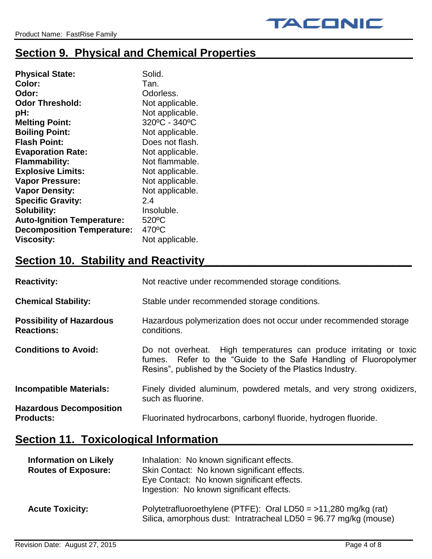# **Section 9. Physical and Chemical Properties**

| <b>Physical State:</b>            | Solid.          |
|-----------------------------------|-----------------|
| Color:                            | Tan.            |
| Odor:                             | Odorless.       |
| <b>Odor Threshold:</b>            | Not applicable. |
| pH:                               | Not applicable. |
| <b>Melting Point:</b>             | 320°C - 340°C   |
| <b>Boiling Point:</b>             | Not applicable. |
| <b>Flash Point:</b>               | Does not flash. |
| <b>Evaporation Rate:</b>          | Not applicable. |
| <b>Flammability:</b>              | Not flammable.  |
| <b>Explosive Limits:</b>          | Not applicable. |
| <b>Vapor Pressure:</b>            | Not applicable. |
| <b>Vapor Density:</b>             | Not applicable. |
| <b>Specific Gravity:</b>          | 24              |
| <b>Solubility:</b>                | Insoluble.      |
| <b>Auto-Ignition Temperature:</b> | 520°C           |
| <b>Decomposition Temperature:</b> | 470°C           |
| <b>Viscosity:</b>                 | Not applicable. |

# **<u>Section 10. Stability and Reactivity</u>**

| <b>Reactivity:</b>                                   | Not reactive under recommended storage conditions.                                                                                                                                                    |
|------------------------------------------------------|-------------------------------------------------------------------------------------------------------------------------------------------------------------------------------------------------------|
| <b>Chemical Stability:</b>                           | Stable under recommended storage conditions.                                                                                                                                                          |
| <b>Possibility of Hazardous</b><br><b>Reactions:</b> | Hazardous polymerization does not occur under recommended storage<br>conditions.                                                                                                                      |
| <b>Conditions to Avoid:</b>                          | Do not overheat. High temperatures can produce irritating or toxic<br>fumes. Refer to the "Guide to the Safe Handling of Fluoropolymer<br>Resins", published by the Society of the Plastics Industry. |
| <b>Incompatible Materials:</b>                       | Finely divided aluminum, powdered metals, and very strong oxidizers,<br>such as fluorine.                                                                                                             |
| <b>Hazardous Decomposition</b><br><b>Products:</b>   | Fluorinated hydrocarbons, carbonyl fluoride, hydrogen fluoride.                                                                                                                                       |

# **Section 11. Toxicological Information**

| <b>Information on Likely</b><br><b>Routes of Exposure:</b> | Inhalation: No known significant effects.<br>Skin Contact: No known significant effects.<br>Eye Contact: No known significant effects.<br>Ingestion: No known significant effects. |
|------------------------------------------------------------|------------------------------------------------------------------------------------------------------------------------------------------------------------------------------------|
| <b>Acute Toxicity:</b>                                     | Polytetrafluoroethylene (PTFE): Oral LD50 = $>11,280$ mg/kg (rat)<br>Silica, amorphous dust: Intratracheal LD50 = 96.77 mg/kg (mouse)                                              |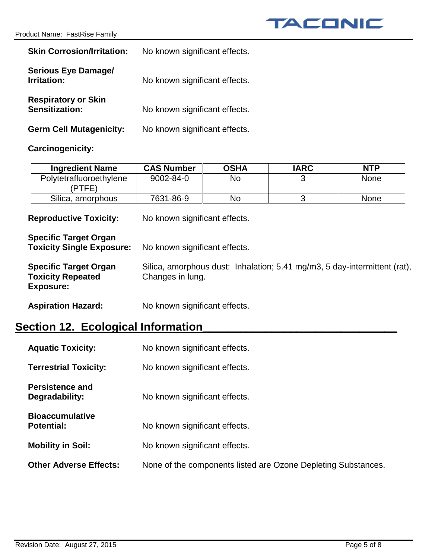| <b>Skin Corrosion/Irritation:</b>                   | No known significant effects. |
|-----------------------------------------------------|-------------------------------|
| <b>Serious Eye Damage/</b><br>Irritation:           | No known significant effects. |
| <b>Respiratory or Skin</b><br><b>Sensitization:</b> | No known significant effects. |
| <b>Germ Cell Mutagenicity:</b>                      | No known significant effects. |

## **Carcinogenicity:**

| <b>Ingredient Name</b>            | <b>CAS Number</b> | <b>OSHA</b> | <b>IARC</b> | <b>NTP</b>  |
|-----------------------------------|-------------------|-------------|-------------|-------------|
| Polytetrafluoroethylene<br>(PTFE) | 9002-84-0         | <b>No</b>   |             | None        |
| Silica, amorphous                 | 7631-86-9         | No          |             | <b>None</b> |

**Reproductive Toxicity:** No known significant effects.

| <b>Specific Target Organ</b><br><b>Toxicity Single Exposure:</b>             | No known significant effects.                                                                 |
|------------------------------------------------------------------------------|-----------------------------------------------------------------------------------------------|
| <b>Specific Target Organ</b><br><b>Toxicity Repeated</b><br><b>Exposure:</b> | Silica, amorphous dust: Inhalation; 5.41 mg/m3, 5 day-intermittent (rat),<br>Changes in lung. |
| <b>Aspiration Hazard:</b>                                                    | No known significant effects.                                                                 |

# **Section 12. Ecological Information\_\_\_\_\_\_\_\_\_\_\_\_\_\_\_\_\_\_\_\_\_\_\_\_\_\_\_\_\_\_\_**

| <b>Aquatic Toxicity:</b>                    | No known significant effects.                                 |
|---------------------------------------------|---------------------------------------------------------------|
| <b>Terrestrial Toxicity:</b>                | No known significant effects.                                 |
| <b>Persistence and</b><br>Degradability:    | No known significant effects.                                 |
| <b>Bioaccumulative</b><br><b>Potential:</b> | No known significant effects.                                 |
| <b>Mobility in Soil:</b>                    | No known significant effects.                                 |
| <b>Other Adverse Effects:</b>               | None of the components listed are Ozone Depleting Substances. |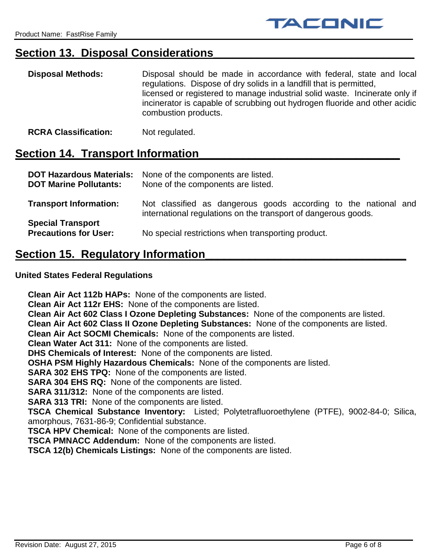# Section 13. Disposal Considerations

| <b>Disposal Methods:</b> | Disposal should be made in accordance with federal, state and local<br>regulations. Dispose of dry solids in a landfill that is permitted,                                        |
|--------------------------|-----------------------------------------------------------------------------------------------------------------------------------------------------------------------------------|
|                          | licensed or registered to manage industrial solid waste. Incinerate only if<br>incinerator is capable of scrubbing out hydrogen fluoride and other acidic<br>combustion products. |

**RCRA Classification:** Not regulated.

## Section **14. Transport Information**

| <b>DOT Hazardous Materials:</b><br><b>DOT Marine Pollutants:</b> | None of the components are listed.<br>None of the components are listed.                                                          |
|------------------------------------------------------------------|-----------------------------------------------------------------------------------------------------------------------------------|
| <b>Transport Information:</b>                                    | Not classified as dangerous goods according to the national and<br>international regulations on the transport of dangerous goods. |
| <b>Special Transport</b><br><b>Precautions for User:</b>         | No special restrictions when transporting product.                                                                                |

## **Section 15. Regulatory Information**

## **United States Federal Regulations**

**Clean Air Act 112b HAPs:** None of the components are listed. **Clean Air Act 112r EHS:** None of the components are listed. **Clean Air Act 602 Class I Ozone Depleting Substances:** None of the components are listed. **Clean Air Act 602 Class II Ozone Depleting Substances:** None of the components are listed. **Clean Air Act SOCMI Chemicals:** None of the components are listed. **Clean Water Act 311:** None of the components are listed. **DHS Chemicals of Interest:** None of the components are listed. **OSHA PSM Highly Hazardous Chemicals:** None of the components are listed. **SARA 302 EHS TPQ:** None of the components are listed. **SARA 304 EHS RQ:** None of the components are listed. **SARA 311/312:** None of the components are listed. **SARA 313 TRI:** None of the components are listed. **TSCA Chemical Substance Inventory:** Listed; Polytetrafluoroethylene (PTFE), 9002-84-0; Silica, amorphous, 7631-86-9; Confidential substance. **TSCA HPV Chemical:** None of the components are listed. **TSCA PMNACC Addendum:** None of the components are listed. **TSCA 12(b) Chemicals Listings:** None of the components are listed.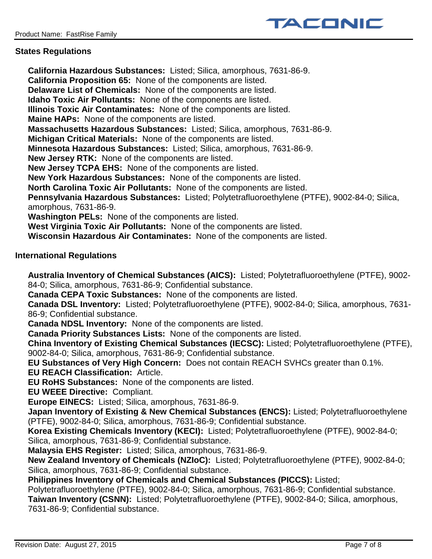

### **States Regulations**

**California Hazardous Substances:** Listed; Silica, amorphous, 7631-86-9. **California Proposition 65:** None of the components are listed. **Delaware List of Chemicals:** None of the components are listed. **Idaho Toxic Air Pollutants:** None of the components are listed. **Illinois Toxic Air Contaminates:** None of the components are listed. **Maine HAPs:** None of the components are listed. **Massachusetts Hazardous Substances:** Listed; Silica, amorphous, 7631-86-9. **Michigan Critical Materials:** None of the components are listed. **Minnesota Hazardous Substances:** Listed; Silica, amorphous, 7631-86-9. **New Jersey RTK:** None of the components are listed. **New Jersey TCPA EHS:** None of the components are listed. **New York Hazardous Substances:** None of the components are listed. **North Carolina Toxic Air Pollutants:** None of the components are listed. **Pennsylvania Hazardous Substances:** Listed; Polytetrafluoroethylene (PTFE), 9002-84-0; Silica, amorphous, 7631-86-9. **Washington PELs:** None of the components are listed. **West Virginia Toxic Air Pollutants:** None of the components are listed. **Wisconsin Hazardous Air Contaminates:** None of the components are listed.

### **International Regulations**

**Australia Inventory of Chemical Substances (AICS):** Listed; Polytetrafluoroethylene (PTFE), 9002- 84-0; Silica, amorphous, 7631-86-9; Confidential substance.

**Canada CEPA Toxic Substances:** None of the components are listed.

**Canada DSL Inventory:** Listed; Polytetrafluoroethylene (PTFE), 9002-84-0; Silica, amorphous, 7631- 86-9; Confidential substance.

**Canada NDSL Inventory:** None of the components are listed.

**Canada Priority Substances Lists:** None of the components are listed.

**China Inventory of Existing Chemical Substances (IECSC):** Listed; Polytetrafluoroethylene (PTFE), 9002-84-0; Silica, amorphous, 7631-86-9; Confidential substance.

**EU Substances of Very High Concern:** Does not contain REACH SVHCs greater than 0.1%.

**EU REACH Classification:** Article.

**EU RoHS Substances:** None of the components are listed.

**EU WEEE Directive:** Compliant.

**Europe EINECS:** Listed; Silica, amorphous, 7631-86-9.

**Japan Inventory of Existing & New Chemical Substances (ENCS):** Listed; Polytetrafluoroethylene (PTFE), 9002-84-0; Silica, amorphous, 7631-86-9; Confidential substance.

**Korea Existing Chemicals Inventory (KECI):** Listed; Polytetrafluoroethylene (PTFE), 9002-84-0; Silica, amorphous, 7631-86-9; Confidential substance.

**Malaysia EHS Register:** Listed; Silica, amorphous, 7631-86-9.

**New Zealand Inventory of Chemicals (NZIoC):** Listed; Polytetrafluoroethylene (PTFE), 9002-84-0; Silica, amorphous, 7631-86-9; Confidential substance.

**Philippines Inventory of Chemicals and Chemical Substances (PICCS):** Listed;

Polytetrafluoroethylene (PTFE), 9002-84-0; Silica, amorphous, 7631-86-9; Confidential substance. **Taiwan Inventory (CSNN):** Listed; Polytetrafluoroethylene (PTFE), 9002-84-0; Silica, amorphous, 7631-86-9; Confidential substance.